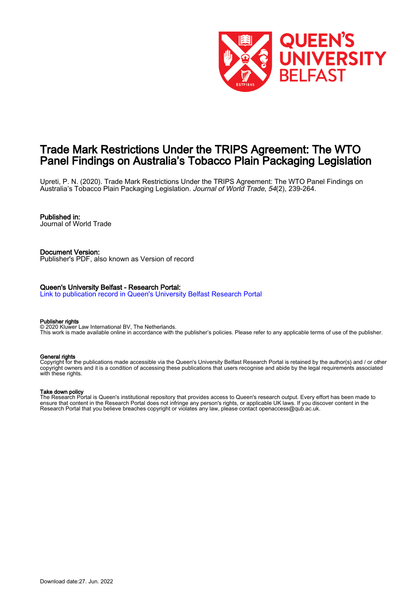

# Trade Mark Restrictions Under the TRIPS Agreement: The WTO Panel Findings on Australia's Tobacco Plain Packaging Legislation

Upreti, P. N. (2020). Trade Mark Restrictions Under the TRIPS Agreement: The WTO Panel Findings on Australia's Tobacco Plain Packaging Legislation. Journal of World Trade, 54(2), 239-264.

# Published in:

Journal of World Trade

Document Version: Publisher's PDF, also known as Version of record

#### Queen's University Belfast - Research Portal:

[Link to publication record in Queen's University Belfast Research Portal](https://pure.qub.ac.uk/en/publications/196d277a-fe59-487c-99b4-5833db8ac4d3)

#### Publisher rights

© 2020 Kluwer Law International BV, The Netherlands. This work is made available online in accordance with the publisher's policies. Please refer to any applicable terms of use of the publisher.

#### General rights

Copyright for the publications made accessible via the Queen's University Belfast Research Portal is retained by the author(s) and / or other copyright owners and it is a condition of accessing these publications that users recognise and abide by the legal requirements associated with these rights.

## Take down policy

The Research Portal is Queen's institutional repository that provides access to Queen's research output. Every effort has been made to ensure that content in the Research Portal does not infringe any person's rights, or applicable UK laws. If you discover content in the Research Portal that you believe breaches copyright or violates any law, please contact openaccess@qub.ac.uk.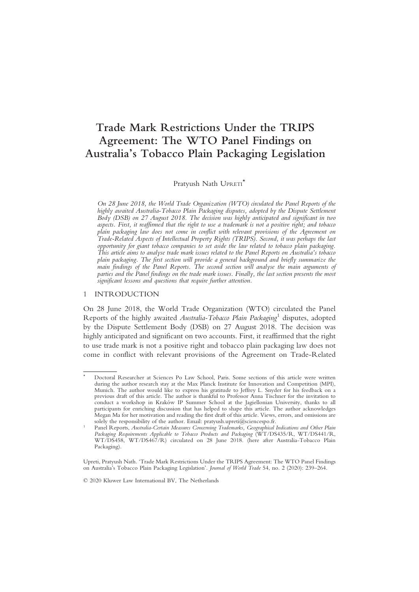# Trade Mark Restrictions Under the TRIPS Agreement: The WTO Panel Findings on Australia's Tobacco Plain Packaging Legislation

Pratyush Nath UPRETI<sup>\*</sup>

On 28 June 2018, the World Trade Organization (WTO) circulated the Panel Reports of the highly awaited Australia-Tobacco Plain Packaging disputes, adopted by the Dispute Settlement Body (DSB) on 27 August 2018. The decision was highly anticipated and significant in two aspects. First, it reaffirmed that the right to use a trademark is not a positive right; and tobacco plain packaging law does not come in conflict with relevant provisions of the Agreement on Trade-Related Aspects of Intellectual Property Rights (TRIPS). Second, it was perhaps the last opportunity for giant tobacco companies to set aside the law related to tobacco plain packaging. This article aims to analyse trade mark issues related to the Panel Reports on Australia's tobacco plain packaging. The first section will provide a general background and briefly summarize the main findings of the Panel Reports. The second section will analyse the main arguments of parties and the Panel findings on the trade mark issues. Finally, the last section presents the most significant lessons and questions that require further attention.

# 1 INTRODUCTION

On 28 June 2018, the World Trade Organization (WTO) circulated the Panel Reports of the highly awaited Australia-Tobacco Plain Packaging<sup>1</sup> disputes, adopted by the Dispute Settlement Body (DSB) on 27 August 2018. The decision was highly anticipated and significant on two accounts. First, it reaffirmed that the right to use trade mark is not a positive right and tobacco plain packaging law does not come in conflict with relevant provisions of the Agreement on Trade-Related

Doctoral Researcher at Sciences Po Law School, Paris. Some sections of this article were written during the author research stay at the Max Planck Institute for Innovation and Competition (MPI), Munich. The author would like to express his gratitude to Jeffrey L. Snyder for his feedback on a previous draft of this article. The author is thankful to Professor Anna Tischner for the invitation to conduct a workshop in Kraków IP Summer School at the Jagiellonian University, thanks to all participants for enriching discussion that has helped to shape this article. The author acknowledges Megan Ma for her motivation and reading the first draft of this article. Views, errors, and omissions are solely the responsibility of the author. Email: pratyush.upreti@sciencespo.fr.

<sup>&</sup>lt;sup>1</sup> Panel Reports, Australia-Certain Measures Concerning Trademarks, Geographical Indications and Other Plain Packaging Requirements Applicable to Tobacco Products and Packaging (WT/DS435/R, WT/DS441/R, WT/DS458, WT/DS467/R) circulated on 28 June 2018. (here after Australia-Tobacco Plain Packaging).

Upreti, Pratyush Nath. 'Trade Mark Restrictions Under the TRIPS Agreement: The WTO Panel Findings on Australia's Tobacco Plain Packaging Legislation'. Journal of World Trade 54, no. 2 (2020): 239–264.

<sup>© 2020</sup> Kluwer Law International BV, The Netherlands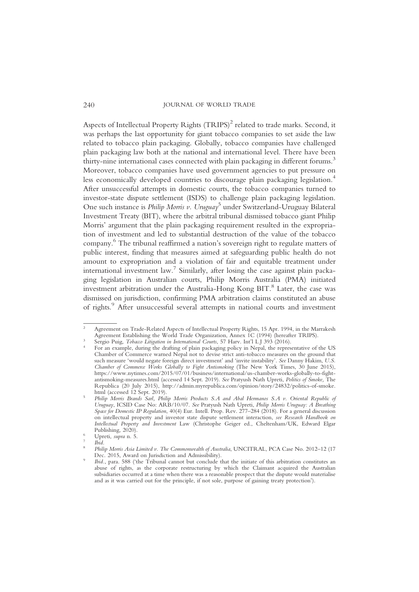Aspects of Intellectual Property Rights (TRIPS)<sup>2</sup> related to trade marks. Second, it was perhaps the last opportunity for giant tobacco companies to set aside the law related to tobacco plain packaging. Globally, tobacco companies have challenged plain packaging law both at the national and international level. There have been thirty-nine international cases connected with plain packaging in different forums.<sup>3</sup> Moreover, tobacco companies have used government agencies to put pressure on less economically developed countries to discourage plain packaging legislation.<sup>4</sup> After unsuccessful attempts in domestic courts, the tobacco companies turned to investor-state dispute settlement (ISDS) to challenge plain packaging legislation. One such instance is *Philip Morris v. Uruguay*<sup>5</sup> under Switzerland-Uruguay Bilateral Investment Treaty (BIT), where the arbitral tribunal dismissed tobacco giant Philip Morris' argument that the plain packaging requirement resulted in the expropriation of investment and led to substantial destruction of the value of the tobacco company. <sup>6</sup> The tribunal reaffirmed a nation's sovereign right to regulate matters of public interest, finding that measures aimed at safeguarding public health do not amount to expropriation and a violation of fair and equitable treatment under international investment law.<sup>7</sup> Similarly, after losing the case against plain packaging legislation in Australian courts, Philip Morris Australia (PMA) initiated investment arbitration under the Australia-Hong Kong BIT.<sup>8</sup> Later, the case was dismissed on jurisdiction, confirming PMA arbitration claims constituted an abuse of rights.<sup>9</sup> After unsuccessful several attempts in national courts and investment

<sup>&</sup>lt;sup>2</sup> Agreement on Trade-Related Aspects of Intellectual Property Rights, 15 Apr. 1994, in the Marrakesh<br>Agreement Establishing the World Trade Organization, Annex 1C (1994) (hereafter TRIPS).

<sup>&</sup>lt;sup>3</sup> Sergio Puig, *Tobaco Litigation in International Courts*, 57 Harv. Int'l LJ 393 (2016).<br><sup>4</sup> For an example, during the drafting of plain packaging policy in Nepal, the representative of the US Chamber of Commerce warned Nepal not to devise strict anti-tobacco measures on the ground that such measure 'would negate foreign direct investment' and 'invite instability'. See Danny Hakim, U.S. Chamber of Commerce Works Globally to Fight Antismoking (The New York Times, 30 June 2015), https://www.nytimes.com/2015/07/01/business/international/us-chamber-works-globally-to-fightantismoking-measures.html (accessed 14 Sept. 2019). See Pratyush Nath Upreti, Politics of Smoke, The Republica (20 July 2015), http://admin.myrepublica.com/opinion/story/24832/politics-of-smoke.

<sup>5</sup> Philip Morris Brands Sarl, Philip Morris Products S.A and Abal Hermanos S.A v. Oriental Republic of Uruguay, ICSID Case No: ARB/10/07. See Pratyush Nath Upreti, Philip Morris Uruguay: A Breathing Space for Domestic IP Regulation, 40(4) Eur. Intell. Prop. Rev. 277–284 (2018). For a general discussion on intellectual property and investor state dispute settlement interaction, see Research Handbook on Intellectual Property and Investment Law (Christophe Geiger ed., Cheltenham/UK, Edward Elgar

Publishing, 2020). 5 Upreti, supra n. 5.<br>
Publishing, 2020<br>
8 Philip Morris Asia Limited v. The Commonwealth of Australia, UNCITRAL, PCA Case No. 2012–12 (17<br>
Dec. 2015, Award on Jurisdiction and Admissibility).

<sup>&</sup>lt;sup>9</sup> Ibid., para. 588 ('the Tribunal cannot but conclude that the initiate of this arbitration constitutes an abuse of rights, as the corporate restructuring by which the Claimant acquired the Australian subsidiaries occurred at a time when there was a reasonable prospect that the dispute would materialise and as it was carried out for the principle, if not sole, purpose of gaining treaty protection').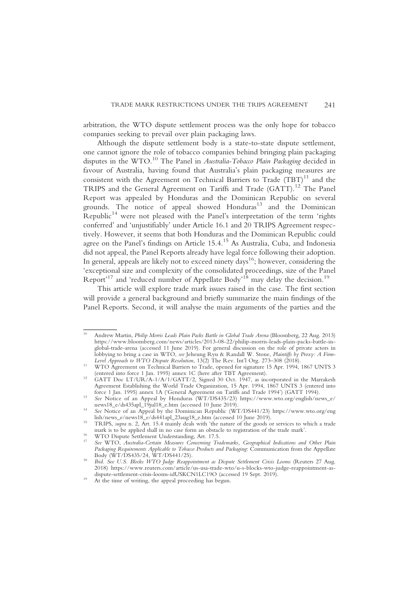arbitration, the WTO dispute settlement process was the only hope for tobacco companies seeking to prevail over plain packaging laws.

Although the dispute settlement body is a state-to-state dispute settlement, one cannot ignore the role of tobacco companies behind bringing plain packaging disputes in the WTO.<sup>10</sup> The Panel in *Australia-Tobacco Plain Packaging* decided in favour of Australia, having found that Australia's plain packaging measures are consistent with the Agreement on Technical Barriers to  $\text{Trade (TBT)}^{11}$  and the TRIPS and the General Agreement on Tariffs and Trade (GATT).12 The Panel Report was appealed by Honduras and the Dominican Republic on several grounds. The notice of appeal showed Honduras<sup>13</sup> and the Dominican Republic<sup>14</sup> were not pleased with the Panel's interpretation of the term 'rights conferred' and 'unjustifiably' under Article 16.1 and 20 TRIPS Agreement respectively. However, it seems that both Honduras and the Dominican Republic could agree on the Panel's findings on Article 15.4.15 As Australia, Cuba, and Indonesia did not appeal, the Panel Reports already have legal force following their adoption. In general, appeals are likely not to exceed ninety days<sup>16</sup>; however, considering the 'exceptional size and complexity of the consolidated proceedings, size of the Panel Report<sup>, 17</sup> and 'reduced number of Appellate Body<sup>, 18</sup> may delay the decision.<sup>19</sup>

This article will explore trade mark issues raised in the case. The first section will provide a general background and briefly summarize the main findings of the Panel Reports. Second, it will analyse the main arguments of the parties and the

<sup>&</sup>lt;sup>10</sup> Andrew Martin, *Philip Morris Leads Plain Packs Battle in Global Trade Arena* (Bloomberg, 22 Aug. 2013) https://www.bloomberg.com/news/articles/2013-08-22/philip-morris-leads-plain-packs-battle-inglobal-trade-arena (accessed 11 June 2019). For general discussion on the role of private actors in lobbying to bring a case in WTO, see Jeheung Ryu & Randall W. Stone, Plaintiffs by Proxy: A Firm-

Level Approach to WTO Dispute Resolution, 13(2) The Rev. Int'l Org. 273–308 (2018).<br>
WTO Agreement on Technical Barriers to Trade, opened for signature 15 Apr. 1994, 1867 UNTS 3<br>
(entered into force 1 Jan. 1995) annex 1C

<sup>&</sup>lt;sup>12</sup> GATT Doc LT/UR/A-1/A/1/GATT/2, Signed 30 Oct. 1947, as incorporated in the Marrakesh Agreement Establishing the World Trade Organization, 15 Apr. 1994, 1867 UNTS 3 (entered into force 1 Jan. 1995) annex 1A ('General Agreement on Tariffs and Trade 1994') (GATT 1994).

force 1 Jan. 1995) and Trade 1 Jan. 1995) and Trade 1994's and Trade 1994's See Notice of an Appeal by Honduras (WT/DS435/23) https://www.wto.org/english/news\_e/<br>news18\_e/ds435apl\_19jul18\_e.htm (accessed 10 June 2019).

<sup>&</sup>lt;sup>14</sup> See Notice of an Appeal by the Dominican Republic (WT/DS441/23) https://www.wto.org/eng<br>lish/news\_e/news18\_e/ds441apl\_23aug18\_e.htm (accessed 10 June 2019).

<sup>&</sup>lt;sup>15</sup> TRIPS, *supra* n. 2, Art. 15.4 mainly deals with 'the nature of the goods or services to which a trade mark is to be applied shall in no case form an obstacle to registration of the trade mark'.

<sup>&</sup>lt;sup>16</sup> WTO Dispute Settlement Understanding, Art. 17.5.<br><sup>17</sup> See WTO, Australia-Certain Measures Concerning Trademarks, Geographical Indications and Other Plain Packaging Requirements Applicable to Tobacco Products and Packaging: Communication from the Appellate Body (WT/DS435/24, WT/DS441/25).

 $^{18}$  Ibid. See U.S. Blocks WTO Judge Reappointment as Dispute Settlement Crisis Looms (Reuters 27 Aug. 2018) https://www.reuters.com/article/us-usa-trade-wto/u-s-blocks-wto-judge-reappointment-asdispute-settlement-crisis-looms-idUSKCN1LC19O (accessed 19 Sept. 2019).<br><sup>19</sup> At the time of writing, the appeal proceeding has begun.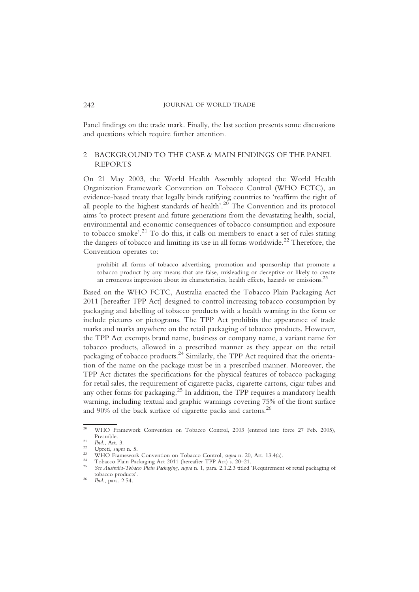Panel findings on the trade mark. Finally, the last section presents some discussions and questions which require further attention.

# 2 BACKGROUND TO THE CASE & MAIN FINDINGS OF THE PANEL REPORTS

On 21 May 2003, the World Health Assembly adopted the World Health Organization Framework Convention on Tobacco Control (WHO FCTC), an evidence-based treaty that legally binds ratifying countries to 'reaffirm the right of all people to the highest standards of health'.<sup>20</sup> The Convention and its protocol aims 'to protect present and future generations from the devastating health, social, environmental and economic consequences of tobacco consumption and exposure to tobacco smoke'. <sup>21</sup> To do this, it calls on members to enact a set of rules stating the dangers of tobacco and limiting its use in all forms worldwide.<sup>22</sup> Therefore, the Convention operates to:

prohibit all forms of tobacco advertising, promotion and sponsorship that promote a tobacco product by any means that are false, misleading or deceptive or likely to create an erroneous impression about its characteristics, health effects, hazards or emissions.<sup>23</sup>

Based on the WHO FCTC, Australia enacted the Tobacco Plain Packaging Act 2011 [hereafter TPP Act] designed to control increasing tobacco consumption by packaging and labelling of tobacco products with a health warning in the form or include pictures or pictograms. The TPP Act prohibits the appearance of trade marks and marks anywhere on the retail packaging of tobacco products. However, the TPP Act exempts brand name, business or company name, a variant name for tobacco products, allowed in a prescribed manner as they appear on the retail packaging of tobacco products.24 Similarly, the TPP Act required that the orientation of the name on the package must be in a prescribed manner. Moreover, the TPP Act dictates the specifications for the physical features of tobacco packaging for retail sales, the requirement of cigarette packs, cigarette cartons, cigar tubes and any other forms for packaging.25 In addition, the TPP requires a mandatory health warning, including textual and graphic warnings covering 75% of the front surface and 90% of the back surface of cigarette packs and cartons.<sup>26</sup>

<sup>&</sup>lt;sup>20</sup> WHO Framework Convention on Tobacco Control, 2003 (entered into force 27 Feb. 2005), Preamble.

<sup>&</sup>lt;sup>21</sup> Ibid., Art. 3.<br>
<sup>22</sup> Upreti, *supra* n. 5.<br>
<sup>23</sup> WHO Framework Convention on Tobacco Control, *supra* n. 20, Art. 13.4(a).<br>
<sup>24</sup> Tobacco Plain Packaging Act 2011 (hereafter TPP Act) s. 20–21.<br> *See Australia-Tobacco P* 

 $10^{26}$  Ibid., para. 2.54.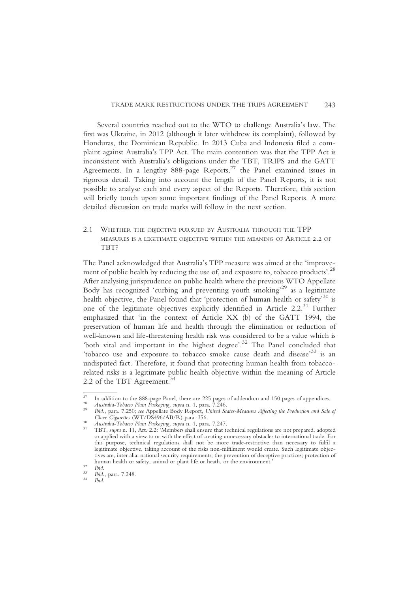Several countries reached out to the WTO to challenge Australia's law. The first was Ukraine, in 2012 (although it later withdrew its complaint), followed by Honduras, the Dominican Republic. In 2013 Cuba and Indonesia filed a complaint against Australia's TPP Act. The main contention was that the TPP Act is inconsistent with Australia's obligations under the TBT, TRIPS and the GATT Agreements. In a lengthy  $888$ -page Reports,<sup>27</sup> the Panel examined issues in rigorous detail. Taking into account the length of the Panel Reports, it is not possible to analyse each and every aspect of the Reports. Therefore, this section will briefly touch upon some important findings of the Panel Reports. A more detailed discussion on trade marks will follow in the next section.

2.1 WHETHER THE OBJECTIVE PURSUED BY AUSTRALIA THROUGH THE TPP MEASURES IS A LEGITIMATE OBJECTIVE WITHIN THE MEANING OF ARTICLE 2.2 OF TBT?

The Panel acknowledged that Australia's TPP measure was aimed at the 'improvement of public health by reducing the use of, and exposure to, tobacco products'.<sup>28</sup> After analysing jurisprudence on public health where the previous WTO Appellate Body has recognized 'curbing and preventing youth smoking' <sup>29</sup> as a legitimate health objective, the Panel found that 'protection of human health or safety' <sup>30</sup> is one of the legitimate objectives explicitly identified in Article  $2.2^{31}$  Further emphasized that 'in the context of Article XX (b) of the GATT 1994, the preservation of human life and health through the elimination or reduction of well-known and life-threatening health risk was considered to be a value which is 'both vital and important in the highest degree'.<sup>32</sup> The Panel concluded that 'tobacco use and exposure to tobacco smoke cause death and disease<sup>33</sup> is an undisputed fact. Therefore, it found that protecting human health from tobaccorelated risks is a legitimate public health objective within the meaning of Article 2.2 of the TBT Agreement.<sup>34</sup>

<sup>&</sup>lt;sup>27</sup> In addition to the 888-page Panel, there are 225 pages of addendum and 150 pages of appendices.<br><sup>28</sup> *Australia-Tobacco Plain Packaging, supra* n. 1, para. 7.246.<br><sup>29</sup> *Ibid.*, para. 7.250; *see* Appellate Body Report

<sup>&</sup>lt;sup>30</sup> Australia-Tobacco Plain Packaging, supra n. 1, para. 7.247.<br><sup>31</sup> TBT, supra n. 11, Art. 2.2: 'Members shall ensure that technical regulations are not prepared, adopted or applied with a view to or with the effect of creating unnecessary obstacles to international trade. For this purpose, technical regulations shall not be more trade-restrictive than necessary to fulfil a legitimate objective, taking account of the risks non-fulfilment would create. Such legitimate objectives are, inter alia: national security requirements; the prevention of deceptive practices; protection of human health or safety, animal or plant life or heath, or the environment.'<br>
32 Ibid., para. 7.248.<br>
34 Ibid.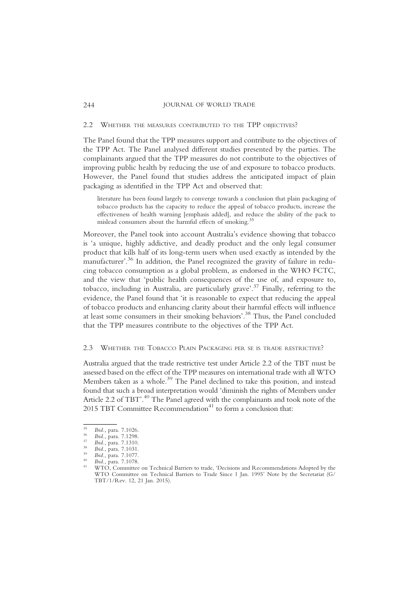#### 2.2 WHETHER THE MEASURES CONTRIBUTED TO THE TPP OBJECTIVES?

The Panel found that the TPP measures support and contribute to the objectives of the TPP Act. The Panel analysed different studies presented by the parties. The complainants argued that the TPP measures do not contribute to the objectives of improving public health by reducing the use of and exposure to tobacco products. However, the Panel found that studies address the anticipated impact of plain packaging as identified in the TPP Act and observed that:

literature has been found largely to converge towards a conclusion that plain packaging of tobacco products has the capacity to reduce the appeal of tobacco products, increase the effectiveness of health warning [emphasis added], and reduce the ability of the pack to mislead consumers about the harmful effects of smoking.<sup>35</sup>

Moreover, the Panel took into account Australia's evidence showing that tobacco is 'a unique, highly addictive, and deadly product and the only legal consumer product that kills half of its long-term users when used exactly as intended by the manufacturer'. <sup>36</sup> In addition, the Panel recognized the gravity of failure in reducing tobacco consumption as a global problem, as endorsed in the WHO FCTC, and the view that 'public health consequences of the use of, and exposure to, tobacco, including in Australia, are particularly grave'. <sup>37</sup> Finally, referring to the evidence, the Panel found that 'it is reasonable to expect that reducing the appeal of tobacco products and enhancing clarity about their harmful effects will influence at least some consumers in their smoking behaviors'. <sup>38</sup> Thus, the Panel concluded that the TPP measures contribute to the objectives of the TPP Act.

#### 2.3 WHETHER THE TOBACCO PLAIN PACKAGING PER SE IS TRADE RESTRICTIVE?

Australia argued that the trade restrictive test under Article 2.2 of the TBT must be assessed based on the effect of the TPP measures on international trade with all WTO Members taken as a whole.<sup>39</sup> The Panel declined to take this position, and instead found that such a broad interpretation would 'diminish the rights of Members under Article 2.2 of TBT'. <sup>40</sup> The Panel agreed with the complainants and took note of the 2015 TBT Committee Recommendation<sup>41</sup> to form a conclusion that:

<sup>&</sup>lt;sup>35</sup> Ibid., para. 7.1026.<br>
<sup>36</sup> Ibid., para. 7.1298.<br>
<sup>37</sup> Ibid., para. 7.1310.<br>
<sup>38</sup> Ibid., para. 7.1031.<br>
<sup>39</sup> Ibid., para. 7.1077.<br>
<sup>40</sup> Ibid., para. 7.1077.<br>
<sup>40</sup> Ibid., para. 7.1078.<br>
<sup>41</sup> WTO, Committee on Technical WTO Committee on Technical Barriers to Trade Since 1 Jan. 1995' Note by the Secretariat (G/ TBT/1/Rev. 12, 21 Jan. 2015).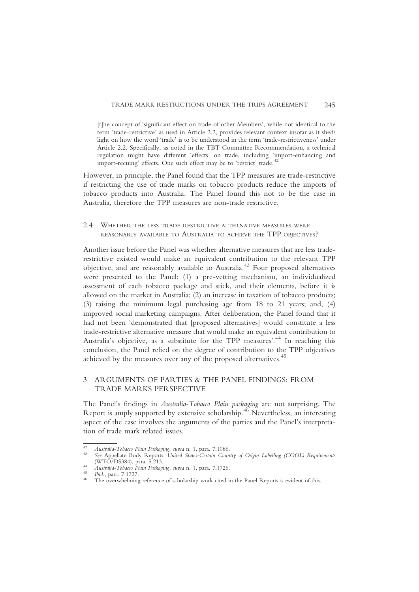[t]he concept of 'significant effect on trade of other Members', while not identical to the term 'trade-restrictive' as used in Article 2.2, provides relevant context insofar as it sheds light on how the word 'trade' is to be understood in the term 'trade-restrictiveness' under Article 2.2. Specifically, as noted in the TBT Committee Recommendation, a technical regulation might have different 'effects' on trade, including 'import-enhancing and import-recuing' effects. One such effect may be to 'restrict' trade.<sup>42</sup>

However, in principle, the Panel found that the TPP measures are trade-restrictive if restricting the use of trade marks on tobacco products reduce the imports of tobacco products into Australia. The Panel found this not to be the case in Australia, therefore the TPP measures are non-trade restrictive.

2.4 WHETHER THE LESS TRADE RESTRICTIVE ALTERNATIVE MEASURES WERE REASONABLY AVAILABLE TO AUSTRALIA TO ACHIEVE THE TPP OBJECTIVES?

Another issue before the Panel was whether alternative measures that are less traderestrictive existed would make an equivalent contribution to the relevant TPP objective, and are reasonably available to Australia.<sup>43</sup> Four proposed alternatives were presented to the Panel: (1) a pre-vetting mechanism, an individualized assessment of each tobacco package and stick, and their elements, before it is allowed on the market in Australia; (2) an increase in taxation of tobacco products; (3) raising the minimum legal purchasing age from 18 to 21 years; and, (4) improved social marketing campaigns. After deliberation, the Panel found that it had not been 'demonstrated that [proposed alternatives] would constitute a less trade-restrictive alternative measure that would make an equivalent contribution to Australia's objective, as a substitute for the TPP measures'. <sup>44</sup> In reaching this conclusion, the Panel relied on the degree of contribution to the TPP objectives achieved by the measures over any of the proposed alternatives.<sup>45</sup>

# 3 ARGUMENTS OF PARTIES & THE PANEL FINDINGS: FROM TRADE MARKS PERSPECTIVE

The Panel's findings in Australia-Tobacco Plain packaging are not surprising. The Report is amply supported by extensive scholarship.<sup>46</sup> Nevertheless, an interesting aspect of the case involves the arguments of the parties and the Panel's interpretation of trade mark related issues.

<sup>42</sup> Australia-Tobacco Plain Packaging, supra n. 1, para. 7.1086.<br>43 See Appellate Body Reports, United States-Certain Country of Origin Labelling (COOL) Requirements<br>(WTO/DS384), para. 5.213.

<sup>(</sup>WTO) (WTO), para. 5.213.<br>
44 Australia-Tobacco Plain Packaging, supra n. 1, para. 7.1726.<br>
<sup>45</sup> Ibid., para. 7.1727.<br>
<sup>46</sup> The overwhelming reference of scholarship work cited in the Panel Reports is evident of this.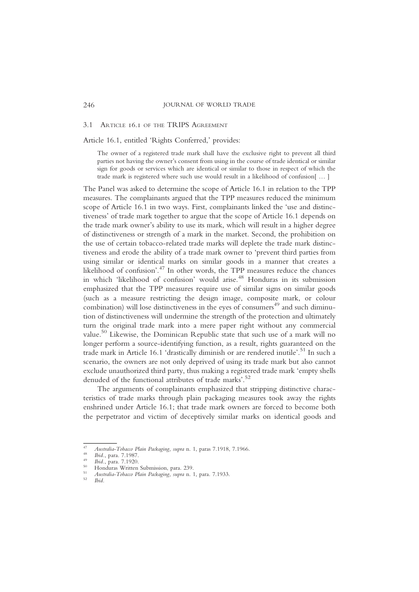#### 3.1 ARTICLE 16.1 OF THE TRIPS AGREEMENT

Article 16.1, entitled 'Rights Conferred,' provides:

The owner of a registered trade mark shall have the exclusive right to prevent all third parties not having the owner's consent from using in the course of trade identical or similar sign for goods or services which are identical or similar to those in respect of which the trade mark is registered where such use would result in a likelihood of confusion[ … ]

The Panel was asked to determine the scope of Article 16.1 in relation to the TPP measures. The complainants argued that the TPP measures reduced the minimum scope of Article 16.1 in two ways. First, complainants linked the 'use and distinctiveness' of trade mark together to argue that the scope of Article 16.1 depends on the trade mark owner's ability to use its mark, which will result in a higher degree of distinctiveness or strength of a mark in the market. Second, the prohibition on the use of certain tobacco-related trade marks will deplete the trade mark distinctiveness and erode the ability of a trade mark owner to 'prevent third parties from using similar or identical marks on similar goods in a manner that creates a likelihood of confusion'. <sup>47</sup> In other words, the TPP measures reduce the chances in which 'likelihood of confusion' would arise.<sup>48</sup> Honduras in its submission emphasized that the TPP measures require use of similar signs on similar goods (such as a measure restricting the design image, composite mark, or colour combination) will lose distinctiveness in the eyes of consumers $49$  and such diminution of distinctiveness will undermine the strength of the protection and ultimately turn the original trade mark into a mere paper right without any commercial value.50 Likewise, the Dominican Republic state that such use of a mark will no longer perform a source-identifying function, as a result, rights guaranteed on the trade mark in Article 16.1 'drastically diminish or are rendered inutile'. <sup>51</sup> In such a scenario, the owners are not only deprived of using its trade mark but also cannot exclude unauthorized third party, thus making a registered trade mark 'empty shells denuded of the functional attributes of trade marks'. 52

The arguments of complainants emphasized that stripping distinctive characteristics of trade marks through plain packaging measures took away the rights enshrined under Article 16.1; that trade mark owners are forced to become both the perpetrator and victim of deceptively similar marks on identical goods and

<sup>&</sup>lt;sup>47</sup> Australia-Tobacco Plain Packaging, supra n. 1, paras 7.1918, 7.1966.<br><sup>48</sup> Ibid., para. 7.1987.<br><sup>49</sup> Ibid., para. 7.1920.<br>51 Honduras Written Submission, para. 239.<br>52 Hid.<br>*11 Australia-Tobacco Plain Packaging, supra*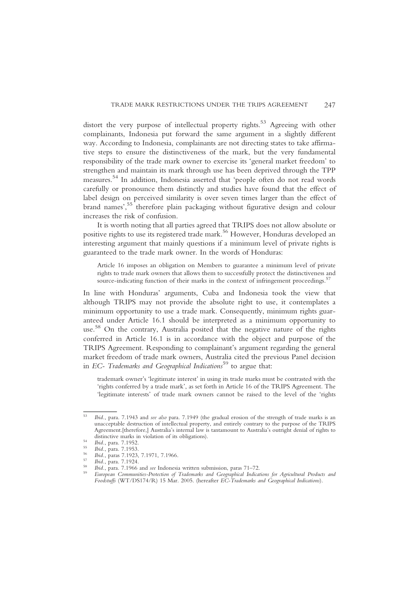distort the very purpose of intellectual property rights.<sup>53</sup> Agreeing with other complainants, Indonesia put forward the same argument in a slightly different way. According to Indonesia, complainants are not directing states to take affirmative steps to ensure the distinctiveness of the mark, but the very fundamental responsibility of the trade mark owner to exercise its 'general market freedom' to strengthen and maintain its mark through use has been deprived through the TPP measures. <sup>54</sup> In addition, Indonesia asserted that 'people often do not read words carefully or pronounce them distinctly and studies have found that the effect of label design on perceived similarity is over seven times larger than the effect of brand names', <sup>55</sup> therefore plain packaging without figurative design and colour increases the risk of confusion.

It is worth noting that all parties agreed that TRIPS does not allow absolute or positive rights to use its registered trade mark.<sup>56</sup> However, Honduras developed an interesting argument that mainly questions if a minimum level of private rights is guaranteed to the trade mark owner. In the words of Honduras:

Article 16 imposes an obligation on Members to guarantee a minimum level of private rights to trade mark owners that allows them to successfully protect the distinctiveness and source-indicating function of their marks in the context of infringement proceedings.<sup>57</sup>

In line with Honduras' arguments, Cuba and Indonesia took the view that although TRIPS may not provide the absolute right to use, it contemplates a minimum opportunity to use a trade mark. Consequently, minimum rights guaranteed under Article 16.1 should be interpreted as a minimum opportunity to use. <sup>58</sup> On the contrary, Australia posited that the negative nature of the rights conferred in Article 16.1 is in accordance with the object and purpose of the TRIPS Agreement. Responding to complainant's argument regarding the general market freedom of trade mark owners, Australia cited the previous Panel decision in EC- Trademarks and Geographical Indications<sup>59</sup> to argue that:

trademark owner's 'legitimate interest' in using its trade marks must be contrasted with the 'rights conferred by a trade mark', as set forth in Article 16 of the TRIPS Agreement. The 'legitimate interests' of trade mark owners cannot be raised to the level of the 'rights

<sup>53</sup> Ibid., para. 7.1943 and see also para. 7.1949 (the gradual erosion of the strength of trade marks is an unacceptable destruction of intellectual property, and entirely contrary to the purpose of the TRIPS Agreement.[therefore,] Australia's internal law is tantamount to Australia's outright denial of rights to distinctive marks in violation of its obligations).

<sup>&</sup>lt;sup>54</sup> Ibid., para. 7.1952.<br>
<sup>55</sup> Ibid., para. 7.1952.<br>
<sup>56</sup> Ibid., paras 7.1923, 7.1971, 7.1966.<br>
<sup>57</sup> Ibid., paras 7.1924.<br>
<sup>58</sup> Ibid., para. 7.1924.<br>
<sup>58</sup> Ibid., para. 7.1966 and *see* Indonesia written submission, paras Foodstuffs (WT/DS174/R) 15 Mar. 2005. (hereafter EC-Trademarks and Geographical Indications).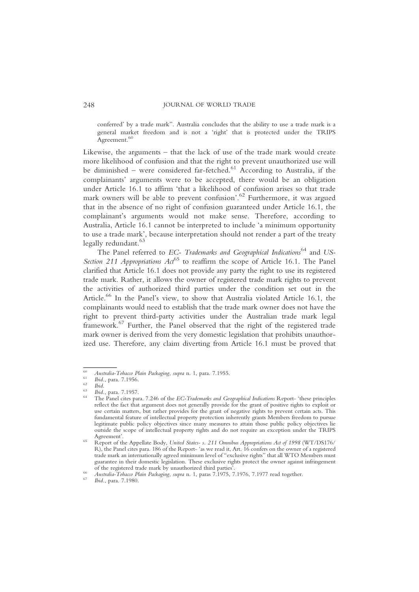conferred' by a trade mark". Australia concludes that the ability to use a trade mark is a general market freedom and is not a 'right' that is protected under the TRIPS Agreement.<sup>60</sup>

Likewise, the arguments – that the lack of use of the trade mark would create more likelihood of confusion and that the right to prevent unauthorized use will be diminished – were considered far-fetched.<sup>61</sup> According to Australia, if the complainants' arguments were to be accepted, there would be an obligation under Article 16.1 to affirm 'that a likelihood of confusion arises so that trade mark owners will be able to prevent confusion'. <sup>62</sup> Furthermore, it was argued that in the absence of no right of confusion guaranteed under Article 16.1, the complainant's arguments would not make sense. Therefore, according to Australia, Article 16.1 cannot be interpreted to include 'a minimum opportunity to use a trade mark', because interpretation should not render a part of the treaty legally redundant.<sup>63</sup>

The Panel referred to EC- Trademarks and Geographical Indications<sup>64</sup> and US-Section 211 Appropriations  $Act^{65}$  to reaffirm the scope of Article 16.1. The Panel clarified that Article 16.1 does not provide any party the right to use its registered trade mark. Rather, it allows the owner of registered trade mark rights to prevent the activities of authorized third parties under the condition set out in the Article.<sup>66</sup> In the Panel's view, to show that Australia violated Article 16.1, the complainants would need to establish that the trade mark owner does not have the right to prevent third-party activities under the Australian trade mark legal framework.<sup>67</sup> Further, the Panel observed that the right of the registered trade mark owner is derived from the very domestic legislation that prohibits unauthorized use. Therefore, any claim diverting from Article 16.1 must be proved that

 $\begin{array}{ll} ^{60} & \textit{Australia-Tobacco Plain} \textit{Packaging, supra n. 1, para. 7.1955.} \\ ^{61} & \textit{Ibid., para. 7.1956.} \\ ^{62} & \textit{Ibid.} \\ ^{63} & \textit{Ibid., para. 7.1957.} \\ ^{64} & \textit{The Panel cities para. 7.246 of the EC-Trademarks and Geographical Indications Report- 'these principles} \end{array}$ reflect the fact that argument does not generally provide for the grant of positive rights to exploit or use certain matters, but rather provides for the grant of negative rights to prevent certain acts. This fundamental feature of intellectual property protection inherently grants Members freedom to pursue legitimate public policy objectives since many measures to attain those public policy objectives lie outside the scope of intellectual property rights and do not require an exception under the TRIPS

Report of the Appellate Body, United States- s. 211 Omnibus Appropriations Act of 1998 (WT/DS176/ R), the Panel cites para. 186 of the Report- 'as we read it, Art. 16 confers on the owner of a registered trade mark an internationally agreed minimum level of "exclusive rights" that all WTO Members must guarantee in their domestic legislation. These exclusive rights protect the owner against infringement

<sup>&</sup>lt;sup>66</sup> Australia-Tobacco Plain Packaging, supra n. 1, paras 7.1975, 7.1976, 7.1977 read together.<br><sup>67</sup> Ibid., para. 7.1980.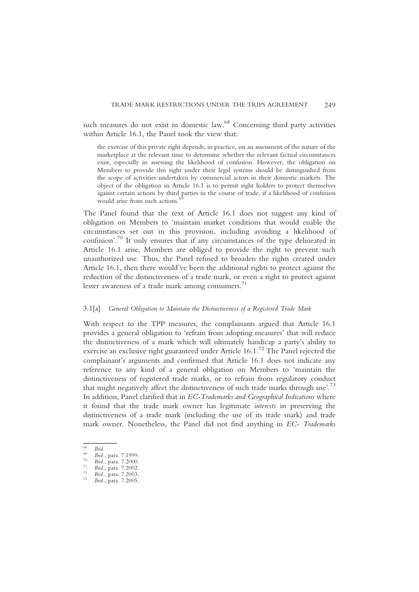such measures do not exist in domestic law.<sup>68</sup> Concerning third party activities within Article 16.1, the Panel took the view that:

the exercise of this private right depends, in practice, on an assessment of the nature of the marketplace at the relevant time to determine whether the relevant factual circumstances exist, especially in assessing the likelihood of confusion. However, the obligation on Members to provide this right under their legal systems should be distinguished from the scope of activities undertaken by commercial actors in their domestic markets. The object of the obligation in Article 16.1 is to permit right holders to protect themselves against certain actions by third parties in the course of trade, if a likelihood of confusion would arise from such actions.<sup>6</sup>

The Panel found that the text of Article 16.1 does not suggest any kind of obligation on Members to 'maintain market conditions that would enable the circumstances set out in this provision, including avoiding a likelihood of confusion'. <sup>70</sup> It only ensures that if any circumstances of the type delineated in Article 16.1 arise, Members are obliged to provide the right to prevent such unauthorized use. Thus, the Panel refused to broaden the rights created under Article 16.1, then there would've been the additional rights to protect against the reduction of the distinctiveness of a trade mark, or even a right to protect against lesser awareness of a trade mark among consumers. $^{71}$ 

#### 3.1[a] General Obligation to Maintain the Distinctiveness of a Registered Trade Mark

With respect to the TPP measures, the complainants argued that Article 16.1 provides a general obligation to 'refrain from adopting measures' that will reduce the distinctiveness of a mark which will ultimately handicap a party's ability to exercise an exclusive right guaranteed under Article 16.1.72 The Panel rejected the complainant's arguments and confirmed that Article 16.1 does not indicate any reference to any kind of a general obligation on Members to 'maintain the distinctiveness of registered trade marks, or to refrain from regulatory conduct that might negatively affect the distinctiveness of such trade marks through use'.<sup>73</sup> In addition, Panel clarified that in EC-Trademarks and Geographical Indications where it found that the trade mark owner has legitimate interests in preserving the distinctiveness of a trade mark (including the use of its trade mark) and trade mark owner. Nonetheless, the Panel did not find anything in EC- Trademarks

<sup>68</sup> Ibid., para. 7.1999.<br><sup>70</sup> Ibid., para. 7.2000.<br><sup>71</sup> Ibid., para. 7.2002.<br><sup>72</sup> Ibid., para. 7.2003.<br><sup>73</sup> Ibid., para. 7.2005.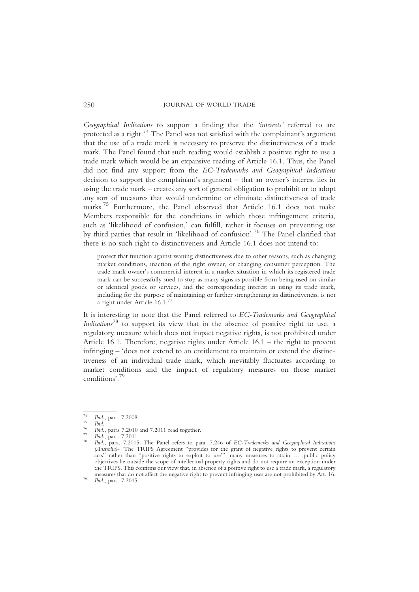Geographical Indications to support a finding that the 'interests' referred to are protected as a right.<sup>74</sup> The Panel was not satisfied with the complainant's argument that the use of a trade mark is necessary to preserve the distinctiveness of a trade mark. The Panel found that such reading would establish a positive right to use a trade mark which would be an expansive reading of Article 16.1. Thus, the Panel did not find any support from the EC-Trademarks and Geographical Indications decision to support the complainant's argument – that an owner's interest lies in using the trade mark – creates any sort of general obligation to prohibit or to adopt any sort of measures that would undermine or eliminate distinctiveness of trade marks.<sup>75</sup> Furthermore, the Panel observed that Article 16.1 does not make Members responsible for the conditions in which those infringement criteria, such as 'likelihood of confusion,' can fulfill, rather it focuses on preventing use by third parties that result in 'likelihood of confusion'. <sup>76</sup> The Panel clarified that there is no such right to distinctiveness and Article 16.1 does not intend to:

protect that function against waning distinctiveness due to other reasons, such as changing market conditions, inaction of the right owner, or changing consumer perception. The trade mark owner's commercial interest in a market situation in which its registered trade mark can be successfully sued to stop as many signs as possible from being used on similar or identical goods or services, and the corresponding interest in using its trade mark, including for the purpose of maintaining or further strengthening its distinctiveness, is not a right under Article 16.1.77

It is interesting to note that the Panel referred to EC-Trademarks and Geographical Indications<sup>78</sup> to support its view that in the absence of positive right to use, a regulatory measure which does not impact negative rights, is not prohibited under Article 16.1. Therefore, negative rights under Article 16.1 – the right to prevent infringing – 'does not extend to an entitlement to maintain or extend the distinctiveness of an individual trade mark, which inevitably fluctuates according to market conditions and the impact of regulatory measures on those market conditions'. 79

<sup>&</sup>lt;sup>74</sup> Ibid., para. 7.2008.<br><sup>75</sup> Ibid., paras 7.2010 and 7.2011 read together.<br><sup>77</sup> Ibid., para. 7.2011.<br><sup>78</sup> Ibid., para. 7.2015. The Panel refers to para. 7.246 of EC-Trademarks and Geographical Indications (Australia)- 'The TRIPS Agreement "provides for the grant of negative rights to prevent certain acts" rather than "positive rights to exploit to use"', many measures to attain ... .public policy objectives lie outside the scope of intellectual property rights and do not require an exception under the TRIPS. This confirms our view that, in absence of a positive right to use a trade mark, a regulatory measures that do not affect the negative right to prevent infringing uses are not prohibited by Art. 16. *Ibid.*, para. 7.2015.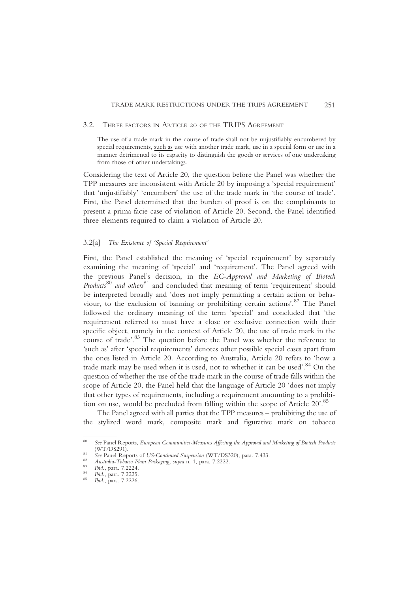#### 3.2. THREE FACTORS IN ARTICLE 20 OF THE TRIPS AGREEMENT

The use of a trade mark in the course of trade shall not be unjustifiably encumbered by special requirements, such as use with another trade mark, use in a special form or use in a manner detrimental to its capacity to distinguish the goods or services of one undertaking from those of other undertakings.

Considering the text of Article 20, the question before the Panel was whether the TPP measures are inconsistent with Article 20 by imposing a 'special requirement' that 'unjustifiably' 'encumbers' the use of the trade mark in 'the course of trade'. First, the Panel determined that the burden of proof is on the complainants to present a prima facie case of violation of Article 20. Second, the Panel identified three elements required to claim a violation of Article 20.

#### 3.2[a] The Existence of 'Special Requirement'

First, the Panel established the meaning of 'special requirement' by separately examining the meaning of 'special' and 'requirement'. The Panel agreed with the previous Panel's decision, in the EC-Approval and Marketing of Biotech  $Products^{80}$  and others<sup>81</sup> and concluded that meaning of term 'requirement' should be interpreted broadly and 'does not imply permitting a certain action or behaviour, to the exclusion of banning or prohibiting certain actions'. <sup>82</sup> The Panel followed the ordinary meaning of the term 'special' and concluded that 'the requirement referred to must have a close or exclusive connection with their specific object, namely in the context of Article 20, the use of trade mark in the course of trade'. <sup>83</sup> The question before the Panel was whether the reference to 'such as' after 'special requirements' denotes other possible special cases apart from the ones listed in Article 20. According to Australia, Article 20 refers to 'how a trade mark may be used when it is used, not to whether it can be used'. <sup>84</sup> On the question of whether the use of the trade mark in the course of trade falls within the scope of Article 20, the Panel held that the language of Article 20 'does not imply that other types of requirements, including a requirement amounting to a prohibition on use, would be precluded from falling within the scope of Article 20'.<sup>85</sup>

The Panel agreed with all parties that the TPP measures – prohibiting the use of the stylized word mark, composite mark and figurative mark on tobacco

<sup>&</sup>lt;sup>80</sup> See Panel Reports, European Communities-Measures Affecting the Approval and Marketing of Biotech Products (WT/DS291).

<sup>&</sup>lt;sup>81</sup> See Panel Reports of US-Continued Suspension (WT/DS320), para. 7.433.<br><sup>82</sup> Australia-Tobacco Plain Packaging, supra n. 1, para. 7.2222.<br><sup>83</sup> Ibid., para. 7.2224.<br><sup>84</sup> Ibid., para. 7.2225.<br><sup>85</sup> Ibid., para. 7.2226.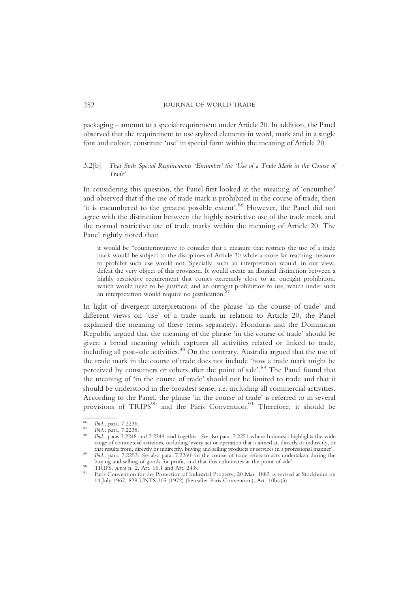packaging – amount to a special requirement under Article 20. In addition, the Panel observed that the requirement to use stylized elements in word, mark and in a single font and colour, constitute 'use' in special form within the meaning of Article 20.

# 3.2[b] That Such Special Requirements 'Encumber' the 'Use of a Trade Mark in the Course of Trade'

In considering this question, the Panel first looked at the meaning of 'encumber' and observed that if the use of trade mark is prohibited in the course of trade, then 'it is encumbered to the greatest possible extent'.<sup>86</sup> However, the Panel did not agree with the distinction between the highly restrictive use of the trade mark and the normal restrictive use of trade marks within the meaning of Article 20. The Panel rightly noted that:

it would be "counterintuitive to consider that a measure that restricts the use of a trade mark would be subject to the disciplines of Article 20 while a more far-reaching measure to prohibit such use would not. Specially, such an interpretation would, in our view, defeat the very object of this provision. It would create an illogical distinction between a highly restrictive requirement that comes extremely close to an outright prohibition, which would need to be justified, and an outright prohibition to use, which under such an interpretation would require no justification.<sup>8</sup>

In light of divergent interpretations of the phrase 'in the course of trade' and different views on 'use' of a trade mark in relation to Article 20, the Panel explained the meaning of these terms separately. Honduras and the Dominican Republic argued that the meaning of the phrase 'in the course of trade' should be given a broad meaning which captures all activities related or linked to trade, including all post-sale activities. $88$  On the contrary, Australia argued that the use of the trade mark in the course of trade does not include 'how a trade mark might be perceived by consumers or others after the point of sale'.<sup>89</sup> The Panel found that the meaning of 'in the course of trade' should not be limited to trade and that it should be understood in the broadest sense, i.e. including all commercial activities. According to the Panel, the phrase 'in the course of trade' is referred to in several provisions of  $TRIPS<sup>90</sup>$  and the Paris Convention.<sup>91</sup> Therefore, it should be

<sup>&</sup>lt;sup>86</sup> Ibid., para. 7.2236.<br><sup>87</sup> Ibid., para. 7.2238.<br><sup>88</sup> Ibid., paras 7.2248 and 7.2249 read together. *See* also para. 7.2251 where Indonesia highlights the wide range of commercial activities, including 'every act or operation that is aimed at, directly or indirectly, or<br>that results from, directly or indirectly, buying and selling products or services in a professional manner'.

that results from the results from the course of trade refers to acts undertaken during the buying and selling of goods for profit, and that this culminates at the point of sale'.

<sup>&</sup>lt;sup>90</sup> TRIPS, *supra* n. 2, Art. 16.1 and Art. 24.8.<br><sup>91</sup> Paris Convention for the Protection of Industrial Property, 20 Mar. 1883 as revised at Stockholm on 14 July 1967, 828 UNTS 305 (1972) (hereafter Paris Convention), Art. 10bis(3).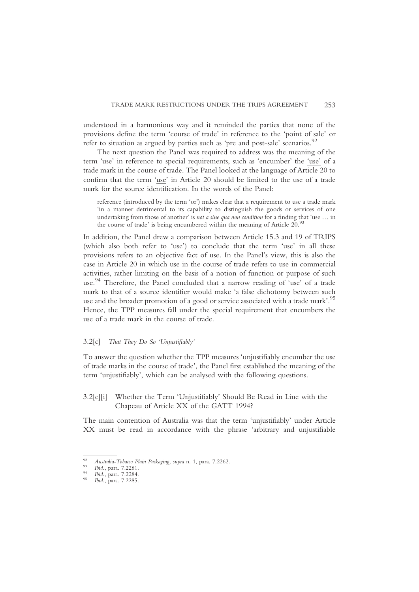understood in a harmonious way and it reminded the parties that none of the provisions define the term 'course of trade' in reference to the 'point of sale' or refer to situation as argued by parties such as 'pre and post-sale' scenarios.<sup>92</sup>

The next question the Panel was required to address was the meaning of the term 'use' in reference to special requirements, such as 'encumber' the 'use' of a trade mark in the course of trade. The Panel looked at the language of Article 20 to confirm that the term 'use' in Article 20 should be limited to the use of a trade mark for the source identification. In the words of the Panel:

reference (introduced by the term 'or') makes clear that a requirement to use a trade mark 'in a manner detrimental to its capability to distinguish the goods or services of one undertaking from those of another' is not a sine qua non condition for a finding that 'use ... in the course of trade' is being encumbered within the meaning of Article  $20.^{93}$ 

In addition, the Panel drew a comparison between Article 15.3 and 19 of TRIPS (which also both refer to 'use') to conclude that the term 'use' in all these provisions refers to an objective fact of use. In the Panel's view, this is also the case in Article 20 in which use in the course of trade refers to use in commercial activities, rather limiting on the basis of a notion of function or purpose of such use. <sup>94</sup> Therefore, the Panel concluded that a narrow reading of 'use' of a trade mark to that of a source identifier would make 'a false dichotomy between such use and the broader promotion of a good or service associated with a trade mark'.<sup>95</sup> Hence, the TPP measures fall under the special requirement that encumbers the use of a trade mark in the course of trade.

### 3.2[c] That They Do So 'Unjustifiably'

To answer the question whether the TPP measures 'unjustifiably encumber the use of trade marks in the course of trade', the Panel first established the meaning of the term 'unjustifiably', which can be analysed with the following questions.

# 3.2[c][i] Whether the Term 'Unjustifiably' Should Be Read in Line with the Chapeau of Article XX of the GATT 1994?

The main contention of Australia was that the term 'unjustifiably' under Article XX must be read in accordance with the phrase 'arbitrary and unjustifiable

<sup>92</sup> Australia-Tobacco Plain Packaging, supra n. 1, para. 7.2262.<br>
93 Ibid., para. 7.2281.<br>
95 Ibid., para. 7.2284.<br>
95 Ibid., para. 7.2285.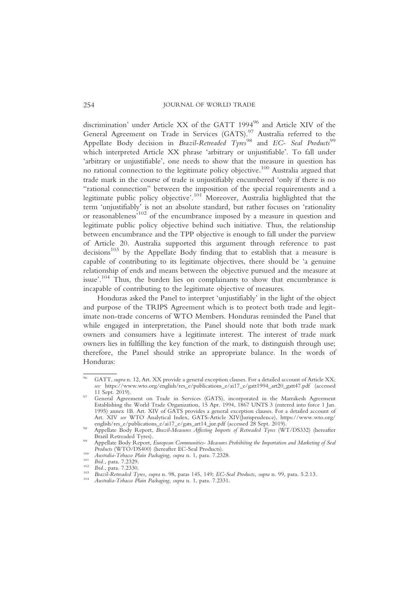discrimination' under Article XX of the GATT 1994<sup>96</sup> and Article XIV of the General Agreement on Trade in Services (GATS).<sup>97</sup> Australia referred to the Appellate Body decision in Brazil-Retreaded  $Types^{98}$  and EC- Seal Products<sup>99</sup> which interpreted Article XX phrase 'arbitrary or unjustifiable'. To fall under 'arbitrary or unjustifiable', one needs to show that the measure in question has no rational connection to the legitimate policy objective.100 Australia argued that trade mark in the course of trade is unjustifiably encumbered 'only if there is no "rational connection" between the imposition of the special requirements and a legitimate public policy objective'.<sup>101</sup> Moreover, Australia highlighted that the term 'unjustifiably' is not an absolute standard, but rather focuses on 'rationality or reasonableness<sup>,102</sup> of the encumbrance imposed by a measure in question and legitimate public policy objective behind such initiative. Thus, the relationship between encumbrance and the TPP objective is enough to fall under the purview of Article 20. Australia supported this argument through reference to past decisions<sup>103</sup> by the Appellate Body finding that to establish that a measure is capable of contributing to its legitimate objectives, there should be 'a genuine relationship of ends and means between the objective pursued and the measure at issue'.<sup>104</sup> Thus, the burden lies on complainants to show that encumbrance is incapable of contributing to the legitimate objective of measures.

Honduras asked the Panel to interpret 'unjustifiably' in the light of the object and purpose of the TRIPS Agreement which is to protect both trade and legitimate non-trade concerns of WTO Members. Honduras reminded the Panel that while engaged in interpretation, the Panel should note that both trade mark owners and consumers have a legitimate interest. The interest of trade mark owners lies in fulfilling the key function of the mark, to distinguish through use; therefore, the Panel should strike an appropriate balance. In the words of Honduras:

<sup>&</sup>lt;sup>96</sup> GATT, supra n. 12, Art. XX provide a general exception clauses. For a detailed account of Article XX; see https://www.wto.org/english/res\_e/publications\_e/ai17\_e/gatt1994\_art20\_gatt47.pdf (accessed 11 Sept. 2019).

<sup>&</sup>lt;sup>97</sup> General Agreement on Trade in Services (GATS), incorporated in the Marrakesh Agreement Establishing the World Trade Organization, 15 Apr. 1994, 1867 UNTS 3 (entered into force 1 Jan. 1995) annex 1B. Art. XIV of GATS provides a general exception clauses. For a detailed account of Art. XIV see WTO Analytical Index, GATS-Article XIV(Jurisprudence), https://www.wto.org/<br>english/res\_e/publications\_e/ai17\_e/gats\_art14\_jur.pdf (accessed 28 Sept. 2019).

<sup>&</sup>lt;sup>98</sup> Appellate Body Report, *Brazil-Measures Affecting Imports of Retreaded Tyres* (WT/DS332) (hereafter Brazil Retreaded Tyres).

Appellate Body Report, European Communities-Measures Prohibiting the Importation and Marketing of Seal<br>Products (WTO/DS400) (hereafter EC-Seal Products).

<sup>&</sup>lt;sup>100</sup> Australia-Tobacco Plain Packaging, supra n. 1, para. 7.2328.<br><sup>101</sup> Ibid., para. 7.2329.<br><sup>102</sup> Ibid., para. 7.2330.<br><sup>103</sup> Brazil-Retreaded Tyres, supra n. 98, paras 145, 149; *EC-Seal Products, supra* n. 99, para. 5.2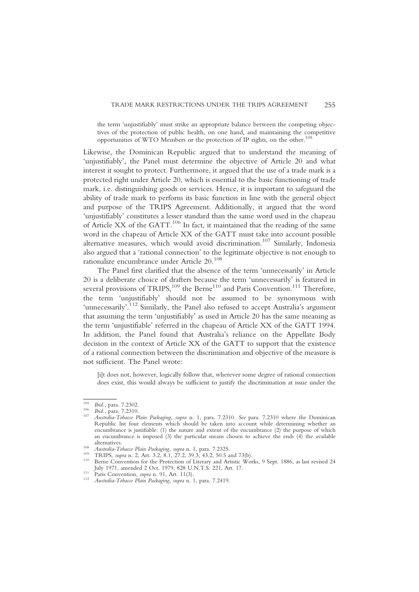the term 'unjustifiably' must strike an appropriate balance between the competing objectives of the protection of public health, on one hand, and maintaining the competitive opportunities of WTO Members or the protection of IP rights, on the other.105

Likewise, the Dominican Republic argued that to understand the meaning of 'unjustifiably', the Panel must determine the objective of Article 20 and what interest it sought to protect. Furthermore, it argued that the use of a trade mark is a protected right under Article 20, which is essential to the basic functioning of trade mark, i.e. distinguishing goods or services. Hence, it is important to safeguard the ability of trade mark to perform its basic function in line with the general object and purpose of the TRIPS Agreement. Additionally, it argued that the word 'unjustifiably' constitutes a lesser standard than the same word used in the chapeau of Article XX of the GATT.<sup>106</sup> In fact, it maintained that the reading of the same word in the chapeau of Article XX of the GATT must take into account possible alternative measures, which would avoid discrimination.<sup>107</sup> Similarly, Indonesia also argued that a 'rational connection' to the legitimate objective is not enough to rationalize encumbrance under Article 20.<sup>108</sup>

The Panel first clarified that the absence of the term 'unnecessarily' in Article 20 is a deliberate choice of drafters because the term 'unnecessarily' is featured in several provisions of TRIPS, $^{109}$  the Berne<sup>110</sup> and Paris Convention.<sup>111</sup> Therefore, the term 'unjustifiably' should not be assumed to be synonymous with 'unnecessarily'.<sup>112</sup> Similarly, the Panel also refused to accept Australia's argument that assuming the term 'unjustifiably' as used in Article 20 has the same meaning as the term 'unjustifiable' referred in the chapeau of Article XX of the GATT 1994. In addition, the Panel found that Australia's reliance on the Appellate Body decision in the context of Article XX of the GATT to support that the existence of a rational connection between the discrimination and objective of the measure is not sufficient. The Panel wrote:

[i]t does not, however, logically follow that, wherever some degree of rational connection does exist, this would always be sufficient to justify the discrimination at issue under the

<sup>105</sup> Ibid., para. 7.2302.<br><sup>106</sup> Ibid., para. 7.2310.<br><sup>107</sup> Australia-Tobacco Plain Packaging, supra n. 1, para. 7.2310. See para. 7.2310 where the Dominican Republic list four elements which should be taken into account while determining whether an encumbrance is justifiable: (1) the nature and extent of the encumbrance (2) the purpose of which an encumbrance is imposed (3) the particular means chosen to achieve the ends  $(4)$  the available alternatives.

<sup>&</sup>lt;sup>108</sup> Australia-Tobacco Plain Packaging, supra n. 1, para. 7.2325.<br><sup>109</sup> TRIPS, supra n. 2, Art. 3.2, 8.1, 27.2, 39.3, 43.2, 50.5 and 73(b).<br><sup>110</sup> Berne Convention for the Protection of Literary and Artistic Works, 9 Sept.

July 1971, amended 2 Oct. 1979, 828 U.N.T.S. 221, Art. 17. <sup>111</sup> Paris Convention, supra n. 91, Art. 11(3). <sup>112</sup> Australia-Tobacco Plain Packaging, supra n. 1, para. 7.2419.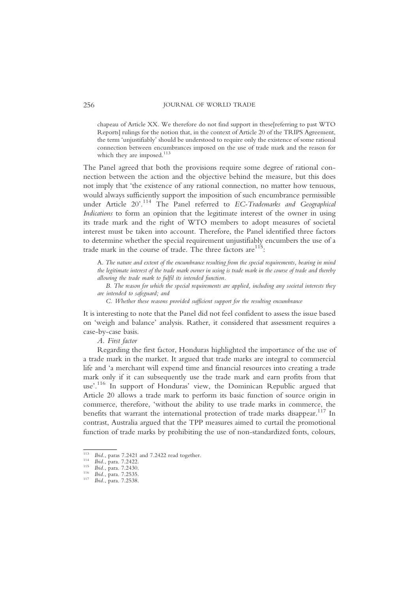chapeau of Article XX. We therefore do not find support in these[referring to past WTO Reports] rulings for the notion that, in the context of Article 20 of the TRIPS Agreement, the term 'unjustifiably' should be understood to require only the existence of some rational connection between encumbrances imposed on the use of trade mark and the reason for which they are imposed. $113$ 

The Panel agreed that both the provisions require some degree of rational connection between the action and the objective behind the measure, but this does not imply that 'the existence of any rational connection, no matter how tenuous, would always sufficiently support the imposition of such encumbrance permissible under Article 20'.<sup>114</sup> The Panel referred to EC-Trademarks and Geographical Indications to form an opinion that the legitimate interest of the owner in using its trade mark and the right of WTO members to adopt measures of societal interest must be taken into account. Therefore, the Panel identified three factors to determine whether the special requirement unjustifiably encumbers the use of a trade mark in the course of trade. The three factors  $\mathrm{are}^{115}$ :

A. The nature and extent of the encumbrance resulting from the special requirements, bearing in mind the legitimate interest of the trade mark owner in using is trade mark in the course of trade and thereby allowing the trade mark to fulfil its intended function.

B. The reason for which the special requirements are applied, including any societal interests they are intended to safeguard; and

C. Whether these reasons provided sufficient support for the resulting encumbrance

It is interesting to note that the Panel did not feel confident to assess the issue based on 'weigh and balance' analysis. Rather, it considered that assessment requires a case-by-case basis.

A. First factor

Regarding the first factor, Honduras highlighted the importance of the use of a trade mark in the market. It argued that trade marks are integral to commercial life and 'a merchant will expend time and financial resources into creating a trade mark only if it can subsequently use the trade mark and earn profits from that use'.<sup>116</sup> In support of Honduras' view, the Dominican Republic argued that Article 20 allows a trade mark to perform its basic function of source origin in commerce, therefore, 'without the ability to use trade marks in commerce, the benefits that warrant the international protection of trade marks disappear.<sup>117</sup> In contrast, Australia argued that the TPP measures aimed to curtail the promotional function of trade marks by prohibiting the use of non-standardized fonts, colours,

<sup>113</sup> Ibid., paras 7.2421 and 7.2422 read together.<br>
<sup>114</sup> Ibid., para. 7.2422.<br>
<sup>115</sup> Ibid., para. 7.2535.<br>
<sup>116</sup> Ibid., para. 7.2535.<br>
<sup>117</sup> Ibid., para. 7.2538.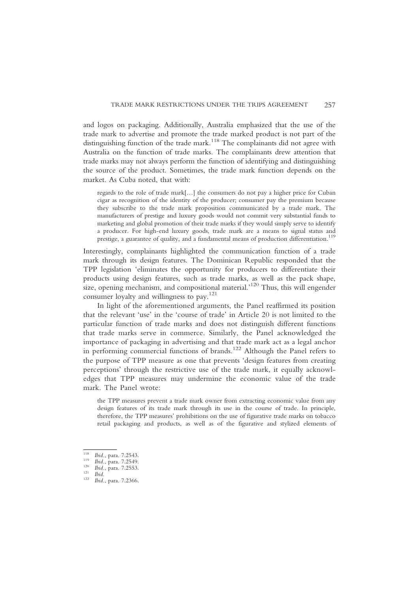and logos on packaging. Additionally, Australia emphasized that the use of the trade mark to advertise and promote the trade marked product is not part of the distinguishing function of the trade mark.<sup>118</sup> The complainants did not agree with Australia on the function of trade marks. The complainants drew attention that trade marks may not always perform the function of identifying and distinguishing the source of the product. Sometimes, the trade mark function depends on the market. As Cuba noted, that with:

regards to the role of trade mark[…] the consumers do not pay a higher price for Cuban cigar as recognition of the identity of the producer; consumer pay the premium because they subscribe to the trade mark proposition communicated by a trade mark, The manufacturers of prestige and luxury goods would not commit very substantial funds to marketing and global promotion of their trade marks if they would simply serve to identify a producer. For high-end luxury goods, trade mark are a means to signal status and prestige, a guarantee of quality, and a fundamental means of production differentiation.<sup>119</sup>

Interestingly, complainants highlighted the communication function of a trade mark through its design features. The Dominican Republic responded that the TPP legislation 'eliminates the opportunity for producers to differentiate their products using design features, such as trade marks, as well as the pack shape, size, opening mechanism, and compositional material.' <sup>120</sup> Thus, this will engender consumer loyalty and willingness to pay.121

In light of the aforementioned arguments, the Panel reaffirmed its position that the relevant 'use' in the 'course of trade' in Article 20 is not limited to the particular function of trade marks and does not distinguish different functions that trade marks serve in commerce. Similarly, the Panel acknowledged the importance of packaging in advertising and that trade mark act as a legal anchor in performing commercial functions of brands.<sup>122</sup> Although the Panel refers to the purpose of TPP measure as one that prevents 'design features from creating perceptions' through the restrictive use of the trade mark, it equally acknowledges that TPP measures may undermine the economic value of the trade mark. The Panel wrote:

the TPP measures prevent a trade mark owner from extracting economic value from any design features of its trade mark through its use in the course of trade. In principle, therefore, the TPP measures' prohibitions on the use of figurative trade marks on tobacco retail packaging and products, as well as of the figurative and stylized elements of

<sup>118</sup> Ibid., para. 7.2543.<br>
119 Ibid., para. 7.2549.<br>
120 Ibid., para. 7.2553.<br>
121 Ibid., para. 7.2366.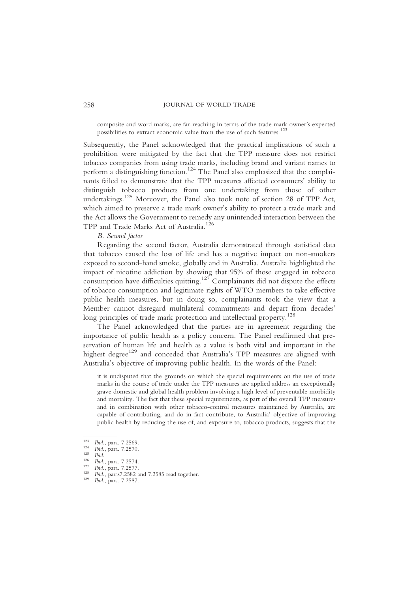composite and word marks, are far-reaching in terms of the trade mark owner's expected possibilities to extract economic value from the use of such features.<sup>123</sup>

Subsequently, the Panel acknowledged that the practical implications of such a prohibition were mitigated by the fact that the TPP measure does not restrict tobacco companies from using trade marks, including brand and variant names to perform a distinguishing function.<sup>124</sup> The Panel also emphasized that the complainants failed to demonstrate that the TPP measures affected consumers' ability to distinguish tobacco products from one undertaking from those of other undertakings.125 Moreover, the Panel also took note of section 28 of TPP Act, which aimed to preserve a trade mark owner's ability to protect a trade mark and the Act allows the Government to remedy any unintended interaction between the TPP and Trade Marks Act of Australia.<sup>126</sup>

# B. Second factor

Regarding the second factor, Australia demonstrated through statistical data that tobacco caused the loss of life and has a negative impact on non-smokers exposed to second-hand smoke, globally and in Australia. Australia highlighted the impact of nicotine addiction by showing that 95% of those engaged in tobacco consumption have difficulties quitting.<sup>127</sup> Complainants did not dispute the effects of tobacco consumption and legitimate rights of WTO members to take effective public health measures, but in doing so, complainants took the view that a Member cannot disregard multilateral commitments and depart from decades' long principles of trade mark protection and intellectual property.<sup>128</sup>

The Panel acknowledged that the parties are in agreement regarding the importance of public health as a policy concern. The Panel reaffirmed that preservation of human life and health as a value is both vital and important in the highest degree<sup>129</sup> and conceded that Australia's TPP measures are aligned with Australia's objective of improving public health. In the words of the Panel:

it is undisputed that the grounds on which the special requirements on the use of trade marks in the course of trade under the TPP measures are applied address an exceptionally grave domestic and global health problem involving a high level of preventable morbidity and mortality. The fact that these special requirements, as part of the overall TPP measures and in combination with other tobacco-control measures maintained by Australia, are capable of contributing, and do in fact contribute, to Australia' objective of improving public health by reducing the use of, and exposure to, tobacco products, suggests that the

<sup>123</sup> Ibid., para. 7.2570.<br>
125 Ibid., para. 7.2570.<br>
126 Ibid., para. 7.2574.<br>
127 Ibid., para. 7.2577.<br>
128 Ibid., paras7.2582 and 7.2585 read together.<br>
129 Ibid., para. 7.2587.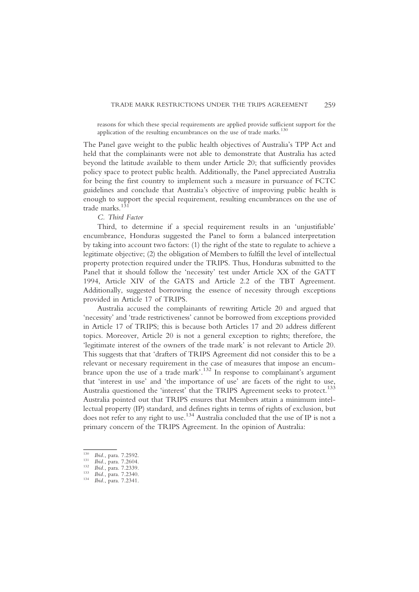reasons for which these special requirements are applied provide sufficient support for the application of the resulting encumbrances on the use of trade marks. $130$ 

The Panel gave weight to the public health objectives of Australia's TPP Act and held that the complainants were not able to demonstrate that Australia has acted beyond the latitude available to them under Article 20; that sufficiently provides policy space to protect public health. Additionally, the Panel appreciated Australia for being the first country to implement such a measure in pursuance of FCTC guidelines and conclude that Australia's objective of improving public health is enough to support the special requirement, resulting encumbrances on the use of trade marks.<sup>131</sup>

C. Third Factor

Third, to determine if a special requirement results in an 'unjustifiable' encumbrance, Honduras suggested the Panel to form a balanced interpretation by taking into account two factors: (1) the right of the state to regulate to achieve a legitimate objective; (2) the obligation of Members to fulfill the level of intellectual property protection required under the TRIPS. Thus, Honduras submitted to the Panel that it should follow the 'necessity' test under Article XX of the GATT 1994, Article XIV of the GATS and Article 2.2 of the TBT Agreement. Additionally, suggested borrowing the essence of necessity through exceptions provided in Article 17 of TRIPS.

Australia accused the complainants of rewriting Article 20 and argued that 'necessity' and 'trade restrictiveness' cannot be borrowed from exceptions provided in Article 17 of TRIPS; this is because both Articles 17 and 20 address different topics. Moreover, Article 20 is not a general exception to rights; therefore, the 'legitimate interest of the owners of the trade mark' is not relevant to Article 20. This suggests that that 'drafters of TRIPS Agreement did not consider this to be a relevant or necessary requirement in the case of measures that impose an encumbrance upon the use of a trade mark'. <sup>132</sup> In response to complainant's argument that 'interest in use' and 'the importance of use' are facets of the right to use, Australia questioned the 'interest' that the TRIPS Agreement seeks to protect.<sup>133</sup> Australia pointed out that TRIPS ensures that Members attain a minimum intellectual property (IP) standard, and defines rights in terms of rights of exclusion, but does not refer to any right to use.134 Australia concluded that the use of IP is not a primary concern of the TRIPS Agreement. In the opinion of Australia:

130 Ibid., para. 7.2592.<br>
131 Ibid., para. 7.2604.<br>
132 Ibid., para. 7.2339.<br>
133 Ibid., para. 7.2340.<br>
134 Ibid., para. 7.2341.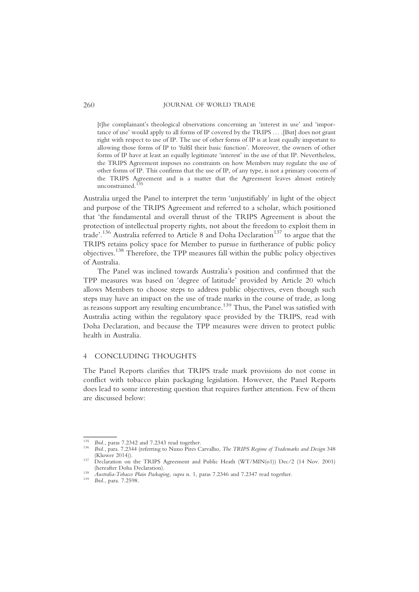[t]he complainant's theological observations concerning an 'interest in use' and 'importance of use' would apply to all forms of IP covered by the TRIPS … .[But] does not grant right with respect to use of IP. The use of other forms of IP is at least equally important to allowing those forms of IP to 'fulfil their basic function'. Moreover, the owners of other forms of IP have at least an equally legitimate 'interest' in the use of that IP. Nevertheless, the TRIPS Agreement imposes no constraints on how Members may regulate the use of other forms of IP. This confirms that the use of IP, of any type, is not a primary concern of the TRIPS Agreement and is a matter that the Agreement leaves almost entirely unconstrained.<sup>135</sup>

Australia urged the Panel to interpret the term 'unjustifiably' in light of the object and purpose of the TRIPS Agreement and referred to a scholar, which positioned that 'the fundamental and overall thrust of the TRIPS Agreement is about the protection of intellectual property rights, not about the freedom to exploit them in trade'.<sup>136</sup> Australia referred to Article 8 and Doha Declaration<sup>137</sup> to argue that the TRIPS retains policy space for Member to pursue in furtherance of public policy objectives.138 Therefore, the TPP measures fall within the public policy objectives of Australia.

The Panel was inclined towards Australia's position and confirmed that the TPP measures was based on 'degree of latitude' provided by Article 20 which allows Members to choose steps to address public objectives, even though such steps may have an impact on the use of trade marks in the course of trade, as long as reasons support any resulting encumbrance.<sup>139</sup> Thus, the Panel was satisfied with Australia acting within the regulatory space provided by the TRIPS, read with Doha Declaration, and because the TPP measures were driven to protect public health in Australia.

#### 4 CONCLUDING THOUGHTS

The Panel Reports clarifies that TRIPS trade mark provisions do not come in conflict with tobacco plain packaging legislation. However, the Panel Reports does lead to some interesting question that requires further attention. Few of them are discussed below:

<sup>&</sup>lt;sup>135</sup> Ibid., paras 7.2342 and 7.2343 read together.<br><sup>136</sup> Ibid., para. 7.2344 (referring to Nuno Pires Carvalho, *The TRIPS Regime of Trademarks and Design* 348<br>(Kluwer 2014)).

<sup>&</sup>lt;sup>137</sup> Declaration on the TRIPS Agreement and Public Heath (WT/MIN(o1)) Dec/2 (14 Nov. 2001) (hereafter Doha Declaration).

<sup>(</sup>hereafter Doha Declaration). <sup>138</sup> Australia-Tobacco Plain Packaging, supra n. 1, paras 7.2346 and 7.2347 read together. <sup>139</sup> Ibid., para. 7.2598.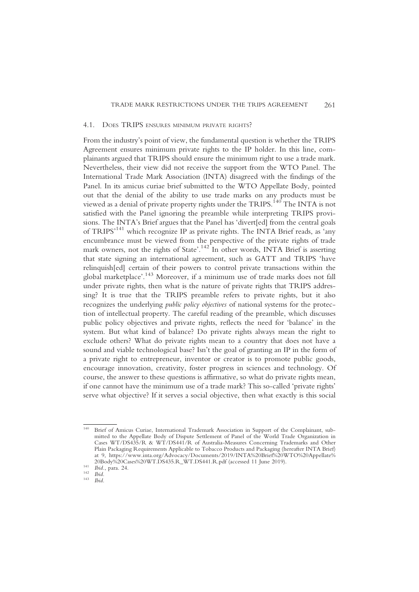#### 4.1. DOES TRIPS ENSURES MINIMUM PRIVATE RIGHTS?

From the industry's point of view, the fundamental question is whether the TRIPS Agreement ensures minimum private rights to the IP holder. In this line, complainants argued that TRIPS should ensure the minimum right to use a trade mark. Nevertheless, their view did not receive the support from the WTO Panel. The International Trade Mark Association (INTA) disagreed with the findings of the Panel. In its amicus curiae brief submitted to the WTO Appellate Body, pointed out that the denial of the ability to use trade marks on any products must be viewed as a denial of private property rights under the TRIPS.<sup>140</sup> The INTA is not satisfied with the Panel ignoring the preamble while interpreting TRIPS provisions. The INTA's Brief argues that the Panel has 'divert[ed] from the central goals of TRIPS<sup>141</sup> which recognize IP as private rights. The INTA Brief reads, as 'any encumbrance must be viewed from the perspective of the private rights of trade mark owners, not the rights of State'.<sup>142</sup> In other words, INTA Brief is asserting that state signing an international agreement, such as GATT and TRIPS 'have relinquish[ed] certain of their powers to control private transactions within the global marketplace'. <sup>143</sup> Moreover, if a minimum use of trade marks does not fall under private rights, then what is the nature of private rights that TRIPS addressing? It is true that the TRIPS preamble refers to private rights, but it also recognizes the underlying public policy objectives of national systems for the protection of intellectual property. The careful reading of the preamble, which discusses public policy objectives and private rights, reflects the need for 'balance' in the system. But what kind of balance? Do private rights always mean the right to exclude others? What do private rights mean to a country that does not have a sound and viable technological base? Isn't the goal of granting an IP in the form of a private right to entrepreneur, inventor or creator is to promote public goods, encourage innovation, creativity, foster progress in sciences and technology. Of course, the answer to these questions is affirmative, so what do private rights mean, if one cannot have the minimum use of a trade mark? This so-called 'private rights' serve what objective? If it serves a social objective, then what exactly is this social

<sup>140</sup> Brief of Amicus Curiae, International Trademark Association in Support of the Complainant, submitted to the Appellate Body of Dispute Settlement of Panel of the World Trade Organization in Cases WT/DS435/R & WT/DS441/R of Australia-Measures Concerning Trademarks and Other Plain Packaging Requirements Applicable to Tobacco Products and Packaging (hereafter INTA Brief) at 9, https://www.inta.org/Advocacy/Documents/2019/INTA%20Brief%20WTO%20Appellate% 20Body%20Cases%20WT.DS435.R\_WT.DS441.R.pdf (accessed 11 June 2019).<br>
<sup>141</sup> Ibid., para. 24.<br>
<sup>142</sup> Ibid.<br>
<sup>143</sup> Ibid.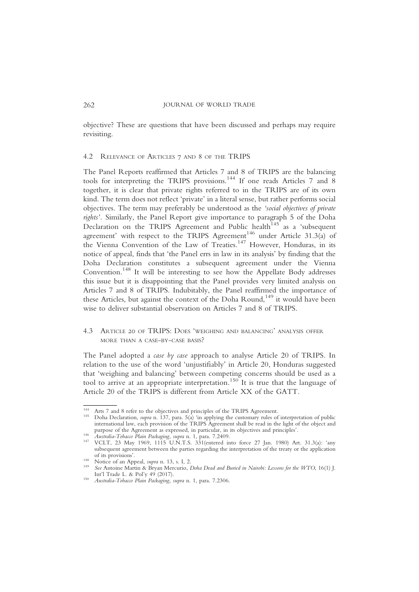objective? These are questions that have been discussed and perhaps may require revisiting.

### 4.2 RELEVANCE OF ARTICLES 7 AND 8 OF THE TRIPS

The Panel Reports reaffirmed that Articles 7 and 8 of TRIPS are the balancing tools for interpreting the TRIPS provisions.<sup>144</sup> If one reads Articles 7 and 8 together, it is clear that private rights referred to in the TRIPS are of its own kind. The term does not reflect 'private' in a literal sense, but rather performs social objectives. The term may preferably be understood as the 'social objectives of private rights'. Similarly, the Panel Report give importance to paragraph 5 of the Doha Declaration on the TRIPS Agreement and Public health<sup>145</sup> as a 'subsequent agreement' with respect to the TRIPS Agreement<sup>146</sup> under Article 31.3(a) of the Vienna Convention of the Law of Treaties.<sup>147</sup> However, Honduras, in its notice of appeal, finds that 'the Panel errs in law in its analysis' by finding that the Doha Declaration constitutes a subsequent agreement under the Vienna Convention.<sup>148</sup> It will be interesting to see how the Appellate Body addresses this issue but it is disappointing that the Panel provides very limited analysis on Articles 7 and 8 of TRIPS. Indubitably, the Panel reaffirmed the importance of these Articles, but against the context of the Doha Round.<sup>149</sup> it would have been wise to deliver substantial observation on Articles 7 and 8 of TRIPS.

# 4.3 ARTICLE 20 OF TRIPS: DOES 'WEIGHING AND BALANCING' ANALYSIS OFFER MORE THAN A CASE-BY-CASE BASIS?

The Panel adopted a case by case approach to analyse Article 20 of TRIPS. In relation to the use of the word 'unjustifiably' in Article 20, Honduras suggested that 'weighing and balancing' between competing concerns should be used as a tool to arrive at an appropriate interpretation.<sup>150</sup> It is true that the language of Article 20 of the TRIPS is different from Article XX of the GATT.

<sup>&</sup>lt;sup>144</sup> Arts 7 and 8 refer to the objectives and principles of the TRIPS Agreement.<br><sup>145</sup> Doha Declaration, *supra* n. 137, para. 5(a) 'in applying the customary rules of interpretation of public international law, each provision of the TRIPS Agreement shall be read in the light of the object and<br>purpose of the Agreement as expressed, in particular, in its objectives and principles'.<br> $\frac{146}{4}$  dustralia Tchases P

Australia-Tobacco Plain Packaging, supra n. 1, para. 7.2409.<br><sup>147</sup> VCLT, 23 May 1969, 1115 U.N.T.S. 331(entered into force 27 Jan. 1980) Art. 31.3(a): 'any subsequent agreement between the parties regarding the interpretation of the treaty or the application of its provisions'.

of its provisions.<br>
148 Notice of an Appeal, *supra* n. 13, s. I, 2.<br>
149 See Antoine Martin & Bryan Mercurio, *Doha Dead and Buried in Nairobi: Lessons for the WTO*, 16(1) J.<br>
11 Int'l Trade L. & Pol'y 49 (2017).

<sup>&</sup>lt;sup>150</sup> Australia-Tobacco Plain Packaging, supra n. 1, para. 7.2306.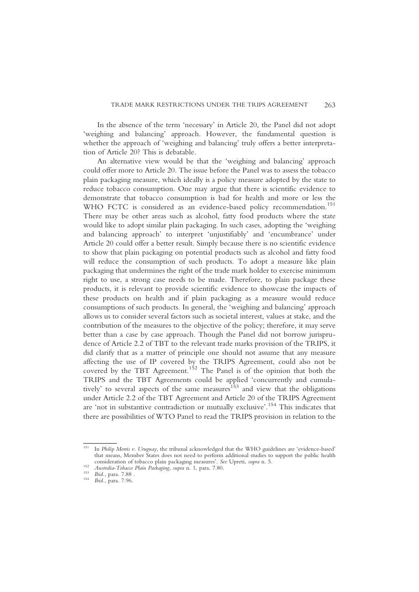In the absence of the term 'necessary' in Article 20, the Panel did not adopt 'weighing and balancing' approach. However, the fundamental question is whether the approach of 'weighing and balancing' truly offers a better interpretation of Article 20? This is debatable.

An alternative view would be that the 'weighing and balancing' approach could offer more to Article 20. The issue before the Panel was to assess the tobacco plain packaging measure, which ideally is a policy measure adopted by the state to reduce tobacco consumption. One may argue that there is scientific evidence to demonstrate that tobacco consumption is bad for health and more or less the WHO FCTC is considered as an evidence-based policy recommendation.<sup>151</sup> There may be other areas such as alcohol, fatty food products where the state would like to adopt similar plain packaging. In such cases, adopting the 'weighing and balancing approach' to interpret 'unjustifiably' and 'encumbrance' under Article 20 could offer a better result. Simply because there is no scientific evidence to show that plain packaging on potential products such as alcohol and fatty food will reduce the consumption of such products. To adopt a measure like plain packaging that undermines the right of the trade mark holder to exercise minimum right to use, a strong case needs to be made. Therefore, to plain package these products, it is relevant to provide scientific evidence to showcase the impacts of these products on health and if plain packaging as a measure would reduce consumptions of such products. In general, the 'weighing and balancing' approach allows us to consider several factors such as societal interest, values at stake, and the contribution of the measures to the objective of the policy; therefore, it may serve better than a case by case approach. Though the Panel did not borrow jurisprudence of Article 2.2 of TBT to the relevant trade marks provision of the TRIPS, it did clarify that as a matter of principle one should not assume that any measure affecting the use of IP covered by the TRIPS Agreement, could also not be covered by the TBT Agreement.<sup>152</sup> The Panel is of the opinion that both the TRIPS and the TBT Agreements could be applied 'concurrently and cumulatively' to several aspects of the same measures<sup>153</sup> and view that the obligations under Article 2.2 of the TBT Agreement and Article 20 of the TRIPS Agreement are 'not in substantive contradiction or mutually exclusive'. <sup>154</sup> This indicates that there are possibilities of WTO Panel to read the TRIPS provision in relation to the

<sup>&</sup>lt;sup>151</sup> In *Philip Morris v. Uruguay*, the tribunal acknowledged that the WHO guidelines are 'evidence-based' that means, Member States does not need to perform additional studies to support the public health consideration of tobacco plain packaging measures'. See Upreti, *supra* n. 5.

consideration of tobacco plain packaging, supra n. 1, para. 7.80.<br>
<sup>152</sup> Australia-Tobacco Plain Packaging, supra n. 1, para. 7.80.<br>
<sup>154</sup> Ibid., para. 7.96.